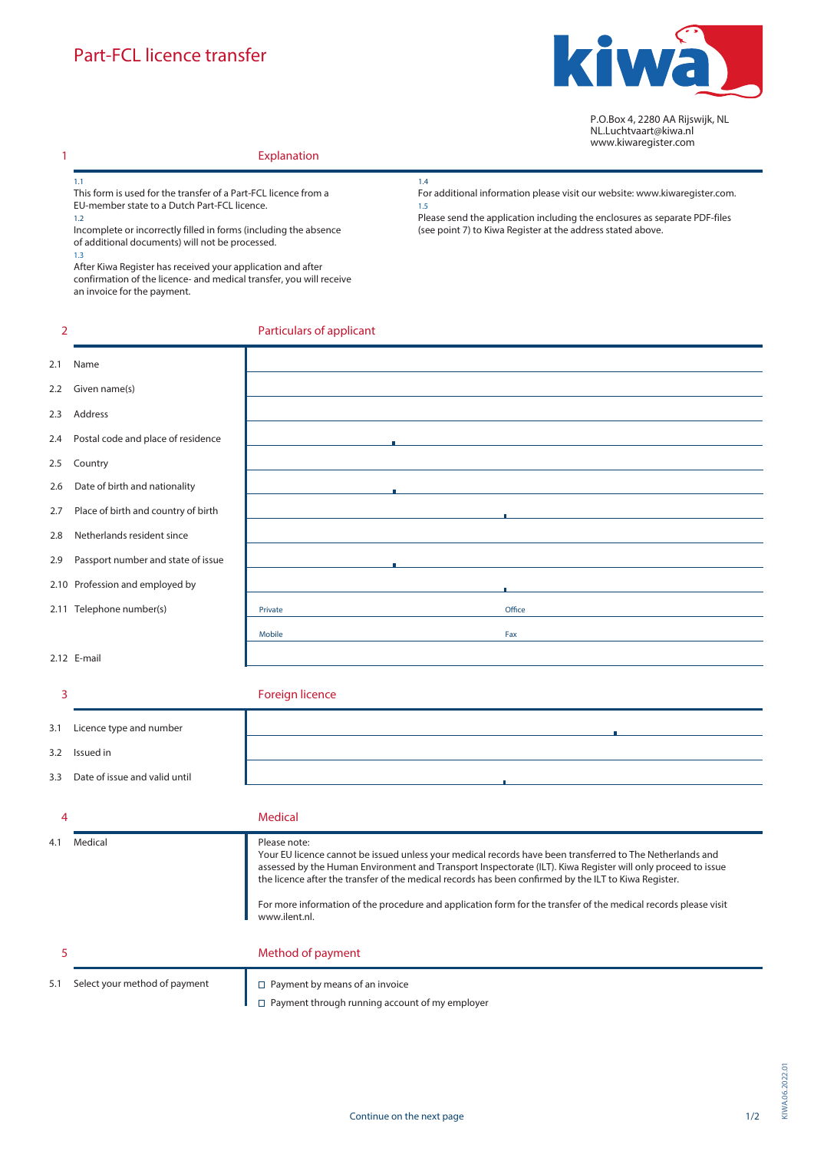

P.O.Box 4, 2280 AA Rijswijk, NL NL.Luchtvaart@kiwa.nl www.kiwaregister.com

## **Explanation**

1.1 *This form is used for the transfer of a Part-FCL licence from a EU-member state to a Dutch Part-FCL licence.*  1.2

*Incomplete or incorrectly filled in forms (including the absence of additional documents) will not be processed.* 

1.3

**2**

**1**

After Kiwa Register has received your application and after confirmation of the licence- and medical transfer, you will receive an invoice for the payment.

*For additional information please visit our website: www.kiwaregister.*com*.* 1.5

Please send the application including the enclosures as separate PDF-files (see point 7) to Kiwa Register at the address stated above.

## **Particulars of applicant**

| 2.1 | Name                                |                                                                                                                                                                                                                                                                                                                                                                                                                                                                                        |        |
|-----|-------------------------------------|----------------------------------------------------------------------------------------------------------------------------------------------------------------------------------------------------------------------------------------------------------------------------------------------------------------------------------------------------------------------------------------------------------------------------------------------------------------------------------------|--------|
| 2.2 | Given name(s)                       |                                                                                                                                                                                                                                                                                                                                                                                                                                                                                        |        |
| 2.3 | Address                             |                                                                                                                                                                                                                                                                                                                                                                                                                                                                                        |        |
| 2.4 | Postal code and place of residence  |                                                                                                                                                                                                                                                                                                                                                                                                                                                                                        |        |
| 2.5 | Country                             |                                                                                                                                                                                                                                                                                                                                                                                                                                                                                        |        |
| 2.6 | Date of birth and nationality       |                                                                                                                                                                                                                                                                                                                                                                                                                                                                                        |        |
| 2.7 | Place of birth and country of birth |                                                                                                                                                                                                                                                                                                                                                                                                                                                                                        |        |
| 2.8 | Netherlands resident since          |                                                                                                                                                                                                                                                                                                                                                                                                                                                                                        |        |
| 2.9 | Passport number and state of issue  |                                                                                                                                                                                                                                                                                                                                                                                                                                                                                        |        |
|     | 2.10 Profession and employed by     |                                                                                                                                                                                                                                                                                                                                                                                                                                                                                        |        |
|     | 2.11 Telephone number(s)            | Private                                                                                                                                                                                                                                                                                                                                                                                                                                                                                | Office |
|     |                                     | Mobile                                                                                                                                                                                                                                                                                                                                                                                                                                                                                 | Fax    |
|     | 2.12 E-mail                         |                                                                                                                                                                                                                                                                                                                                                                                                                                                                                        |        |
|     |                                     |                                                                                                                                                                                                                                                                                                                                                                                                                                                                                        |        |
|     |                                     |                                                                                                                                                                                                                                                                                                                                                                                                                                                                                        |        |
| 3   |                                     | <b>Foreign licence</b>                                                                                                                                                                                                                                                                                                                                                                                                                                                                 |        |
| 3.1 | Licence type and number             |                                                                                                                                                                                                                                                                                                                                                                                                                                                                                        |        |
| 3.2 | Issued in                           |                                                                                                                                                                                                                                                                                                                                                                                                                                                                                        |        |
| 3.3 | Date of issue and valid until       |                                                                                                                                                                                                                                                                                                                                                                                                                                                                                        |        |
|     |                                     |                                                                                                                                                                                                                                                                                                                                                                                                                                                                                        |        |
| 4   |                                     | <b>Medical</b>                                                                                                                                                                                                                                                                                                                                                                                                                                                                         |        |
| 4.1 | Medical                             | Please note:<br>Your EU licence cannot be issued unless your medical records have been transferred to The Netherlands and<br>assessed by the Human Environment and Transport Inspectorate (ILT). Kiwa Register will only proceed to issue<br>the licence after the transfer of the medical records has been confirmed by the ILT to Kiwa Register.<br>For more information of the procedure and application form for the transfer of the medical records please visit<br>www.ilent.nl. |        |
| 5   |                                     | Method of payment                                                                                                                                                                                                                                                                                                                                                                                                                                                                      |        |

1.4